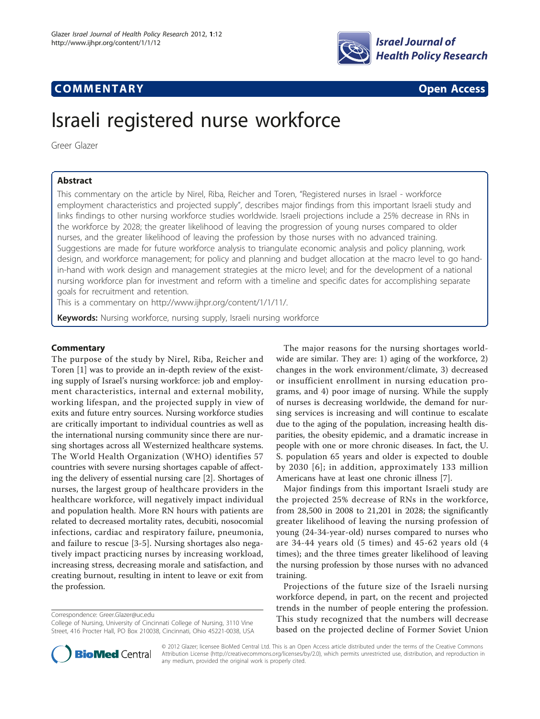

## **COMMENTARY COMMENTARY Open Access**

# Israeli registered nurse workforce

Greer Glazer

## Abstract

This commentary on the article by Nirel, Riba, Reicher and Toren, "Registered nurses in Israel - workforce employment characteristics and projected supply", describes major findings from this important Israeli study and links findings to other nursing workforce studies worldwide. Israeli projections include a 25% decrease in RNs in the workforce by 2028; the greater likelihood of leaving the progression of young nurses compared to older nurses, and the greater likelihood of leaving the profession by those nurses with no advanced training. Suggestions are made for future workforce analysis to triangulate economic analysis and policy planning, work design, and workforce management; for policy and planning and budget allocation at the macro level to go handin-hand with work design and management strategies at the micro level; and for the development of a national nursing workforce plan for investment and reform with a timeline and specific dates for accomplishing separate goals for recruitment and retention.

This is a commentary on [http://www.ijhpr.org/content/1/1/11/.](http://www.ijhpr.org/content/1/1/11/)

**Keywords:** Nursing workforce, nursing supply, Israeli nursing workforce

## **Commentary**

The purpose of the study by Nirel, Riba, Reicher and Toren [[1\]](#page-2-0) was to provide an in-depth review of the existing supply of Israel's nursing workforce: job and employment characteristics, internal and external mobility, working lifespan, and the projected supply in view of exits and future entry sources. Nursing workforce studies are critically important to individual countries as well as the international nursing community since there are nursing shortages across all Westernized healthcare systems. The World Health Organization (WHO) identifies 57 countries with severe nursing shortages capable of affecting the delivery of essential nursing care [\[2\]](#page-2-0). Shortages of nurses, the largest group of healthcare providers in the healthcare workforce, will negatively impact individual and population health. More RN hours with patients are related to decreased mortality rates, decubiti, nosocomial infections, cardiac and respiratory failure, pneumonia, and failure to rescue [\[3](#page-2-0)-[5\]](#page-2-0). Nursing shortages also negatively impact practicing nurses by increasing workload, increasing stress, decreasing morale and satisfaction, and creating burnout, resulting in intent to leave or exit from the profession.

Correspondence: [Greer.Glazer@uc.edu](mailto:Greer.Glazer@uc.edu)

College of Nursing, University of Cincinnati College of Nursing, 3110 Vine Street, 416 Procter Hall, PO Box 210038, Cincinnati, Ohio 45221-0038, USA



Major findings from this important Israeli study are the projected 25% decrease of RNs in the workforce, from 28,500 in 2008 to 21,201 in 2028; the significantly greater likelihood of leaving the nursing profession of young (24-34-year-old) nurses compared to nurses who are 34-44 years old (5 times) and 45-62 years old (4 times); and the three times greater likelihood of leaving the nursing profession by those nurses with no advanced training.

Projections of the future size of the Israeli nursing workforce depend, in part, on the recent and projected trends in the number of people entering the profession. This study recognized that the numbers will decrease based on the projected decline of Former Soviet Union



© 2012 Glazer; licensee BioMed Central Ltd. This is an Open Access article distributed under the terms of the Creative Commons Attribution License [\(http://creativecommons.org/licenses/by/2.0](http://creativecommons.org/licenses/by/2.0)), which permits unrestricted use, distribution, and reproduction in any medium, provided the original work is properly cited.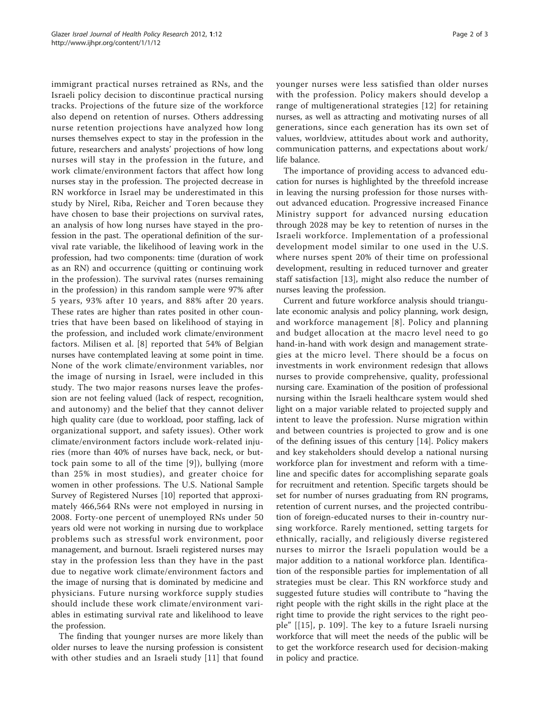immigrant practical nurses retrained as RNs, and the Israeli policy decision to discontinue practical nursing tracks. Projections of the future size of the workforce also depend on retention of nurses. Others addressing nurse retention projections have analyzed how long nurses themselves expect to stay in the profession in the future, researchers and analysts' projections of how long nurses will stay in the profession in the future, and work climate/environment factors that affect how long nurses stay in the profession. The projected decrease in RN workforce in Israel may be underestimated in this study by Nirel, Riba, Reicher and Toren because they have chosen to base their projections on survival rates, an analysis of how long nurses have stayed in the profession in the past. The operational definition of the survival rate variable, the likelihood of leaving work in the profession, had two components: time (duration of work as an RN) and occurrence (quitting or continuing work in the profession). The survival rates (nurses remaining in the profession) in this random sample were 97% after 5 years, 93% after 10 years, and 88% after 20 years. These rates are higher than rates posited in other countries that have been based on likelihood of staying in the profession, and included work climate/environment factors. Milisen et al. [[8\]](#page-2-0) reported that 54% of Belgian nurses have contemplated leaving at some point in time. None of the work climate/environment variables, nor the image of nursing in Israel, were included in this study. The two major reasons nurses leave the profession are not feeling valued (lack of respect, recognition, and autonomy) and the belief that they cannot deliver high quality care (due to workload, poor staffing, lack of organizational support, and safety issues). Other work climate/environment factors include work-related injuries (more than 40% of nurses have back, neck, or buttock pain some to all of the time [[9\]](#page-2-0)), bullying (more than 25% in most studies), and greater choice for women in other professions. The U.S. National Sample Survey of Registered Nurses [[10\]](#page-2-0) reported that approximately 466,564 RNs were not employed in nursing in 2008. Forty-one percent of unemployed RNs under 50 years old were not working in nursing due to workplace problems such as stressful work environment, poor management, and burnout. Israeli registered nurses may stay in the profession less than they have in the past due to negative work climate/environment factors and the image of nursing that is dominated by medicine and physicians. Future nursing workforce supply studies should include these work climate/environment variables in estimating survival rate and likelihood to leave the profession.

The finding that younger nurses are more likely than older nurses to leave the nursing profession is consistent with other studies and an Israeli study [[11](#page-2-0)] that found younger nurses were less satisfied than older nurses with the profession. Policy makers should develop a range of multigenerational strategies [\[12](#page-2-0)] for retaining nurses, as well as attracting and motivating nurses of all generations, since each generation has its own set of values, worldview, attitudes about work and authority, communication patterns, and expectations about work/ life balance.

The importance of providing access to advanced education for nurses is highlighted by the threefold increase in leaving the nursing profession for those nurses without advanced education. Progressive increased Finance Ministry support for advanced nursing education through 2028 may be key to retention of nurses in the Israeli workforce. Implementation of a professional development model similar to one used in the U.S. where nurses spent 20% of their time on professional development, resulting in reduced turnover and greater staff satisfaction [[13\]](#page-2-0), might also reduce the number of nurses leaving the profession.

Current and future workforce analysis should triangulate economic analysis and policy planning, work design, and workforce management [[8\]](#page-2-0). Policy and planning and budget allocation at the macro level need to go hand-in-hand with work design and management strategies at the micro level. There should be a focus on investments in work environment redesign that allows nurses to provide comprehensive, quality, professional nursing care. Examination of the position of professional nursing within the Israeli healthcare system would shed light on a major variable related to projected supply and intent to leave the profession. Nurse migration within and between countries is projected to grow and is one of the defining issues of this century [[14\]](#page-2-0). Policy makers and key stakeholders should develop a national nursing workforce plan for investment and reform with a timeline and specific dates for accomplishing separate goals for recruitment and retention. Specific targets should be set for number of nurses graduating from RN programs, retention of current nurses, and the projected contribution of foreign-educated nurses to their in-country nursing workforce. Rarely mentioned, setting targets for ethnically, racially, and religiously diverse registered nurses to mirror the Israeli population would be a major addition to a national workforce plan. Identification of the responsible parties for implementation of all strategies must be clear. This RN workforce study and suggested future studies will contribute to "having the right people with the right skills in the right place at the right time to provide the right services to the right people" [[[15](#page-2-0)], p. 109]. The key to a future Israeli nursing workforce that will meet the needs of the public will be to get the workforce research used for decision-making in policy and practice.